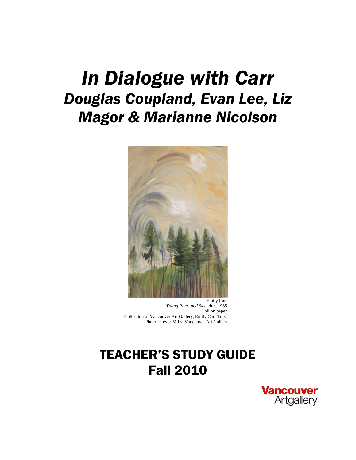# *In Dialogue with Carr Douglas Coupland, Evan Lee, Liz Magor & Marianne Nicolson*



 Emily Carr *Young Pines and Sky*, circa 1935 oil on paper Collection of Vancouver Art Gallery, Emily Carr Trust Photo: Trevor Mills, Vancouver Art Gallery

## TEACHER'S STUDY GUIDE Fall 2010

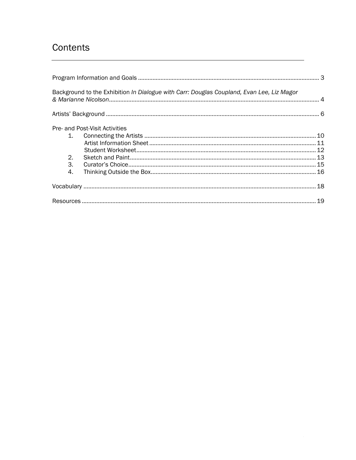### Contents

| Background to the Exhibition In Dialogue with Carr: Douglas Coupland, Evan Lee, Liz Magor |  |
|-------------------------------------------------------------------------------------------|--|
|                                                                                           |  |
| Pre- and Post-Visit Activities                                                            |  |
| $1_{-}$                                                                                   |  |
|                                                                                           |  |
|                                                                                           |  |
| 2.                                                                                        |  |
| 3.                                                                                        |  |
| 4.                                                                                        |  |
|                                                                                           |  |
|                                                                                           |  |
|                                                                                           |  |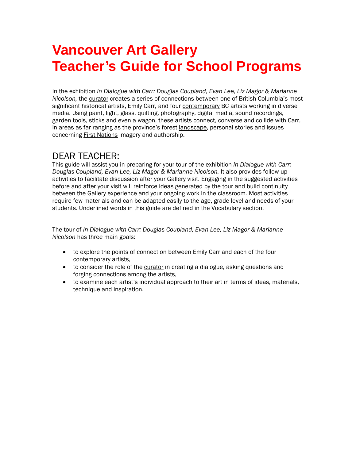## **Vancouver Art Gallery Teacher's Guide for School Programs**

In the exhibition *In Dialogue with Carr: Douglas Coupland, Evan Lee, Liz Magor & Marianne Nicolson,* the curator creates a series of connections between one of British Columbia's most significant historical artists, Emily Carr, and four contemporary BC artists working in diverse media. Using paint, light, glass, quilting, photography, digital media, sound recordings, garden tools, sticks and even a wagon, these artists connect, converse and collide with Carr, in areas as far ranging as the province's forest landscape, personal stories and issues concerning First Nations imagery and authorship.

### DEAR TEACHER:

This guide will assist you in preparing for your tour of the exhibition *In Dialogue with Carr: Douglas Coupland, Evan Lee, Liz Magor & Marianne Nicolson.* It also provides follow-up activities to facilitate discussion after your Gallery visit. Engaging in the suggested activities before and after your visit will reinforce ideas generated by the tour and build continuity between the Gallery experience and your ongoing work in the classroom. Most activities require few materials and can be adapted easily to the age, grade level and needs of your students. Underlined words in this guide are defined in the Vocabulary section.

The tour of *In Dialogue with Carr: Douglas Coupland, Evan Lee, Liz Magor & Marianne Nicolson* has three main goals:

- to explore the points of connection between Emily Carr and each of the four contemporary artists,
- to consider the role of the curator in creating a dialogue, asking questions and forging connections among the artists,
- to examine each artist's individual approach to their art in terms of ideas, materials, technique and inspiration.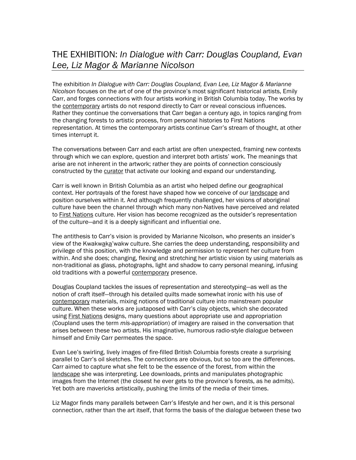### THE EXHIBITION: *In Dialogue with Carr: Douglas Coupland, Evan Lee, Liz Magor & Marianne Nicolson*

The exhibition *In Dialogue with Carr: Douglas Coupland, Evan Lee, Liz Magor & Marianne Nicolson* focuses on the art of one of the province's most significant historical artists, Emily Carr, and forges connections with four artists working in British Columbia today. The works by the contemporary artists do not respond directly to Carr or reveal conscious influences. Rather they continue the conversations that Carr began a century ago, in topics ranging from the changing forests to artistic process, from personal histories to First Nations representation. At times the contemporary artists continue Carr's stream of thought, at other times interrupt it.

The conversations between Carr and each artist are often unexpected, framing new contexts through which we can explore, question and interpret both artists' work. The meanings that arise are not inherent in the artwork; rather they are points of connection consciously constructed by the curator that activate our looking and expand our understanding.

Carr is well known in British Columbia as an artist who helped define our geographical context. Her portrayals of the forest have shaped how we conceive of our landscape and position ourselves within it. And although frequently challenged, her visions of aboriginal culture have been the channel through which many non-Natives have perceived and related to First Nations culture. Her vision has become recognized as the outsider's representation of the culture—and it is a deeply significant and influential one.

The antithesis to Carr's vision is provided by Marianne Nicolson, who presents an insider's view of the Kwakwaka'wakw culture. She carries the deep understanding, responsibility and privilege of this position, with the knowledge and permission to represent her culture from within. And she does; changing, flexing and stretching her artistic vision by using materials as non-traditional as glass, photographs, light and shadow to carry personal meaning, infusing old traditions with a powerful contemporary presence.

Douglas Coupland tackles the issues of representation and stereotyping—as well as the notion of craft itself—through his detailed quilts made somewhat ironic with his use of contemporary materials, mixing notions of traditional culture into mainstream popular culture. When these works are juxtaposed with Carr's clay objects, which she decorated using First Nations designs, many questions about appropriate use and appropriation (Coupland uses the term *mis-appropriation*) of imagery are raised in the conversation that arises between these two artists. His imaginative, humorous radio-style dialogue between himself and Emily Carr permeates the space.

Evan Lee's swirling, lively images of fire-filled British Columbia forests create a surprising parallel to Carr's oil sketches. The connections are obvious, but so too are the differences. Carr aimed to capture what she felt to be the essence of the forest, from within the landscape she was interpreting. Lee downloads, prints and manipulates photographic images from the Internet (the closest he ever gets to the province's forests, as he admits). Yet both are mavericks artistically, pushing the limits of the media of their times.

Liz Magor finds many parallels between Carr's lifestyle and her own, and it is this personal connection, rather than the art itself, that forms the basis of the dialogue between these two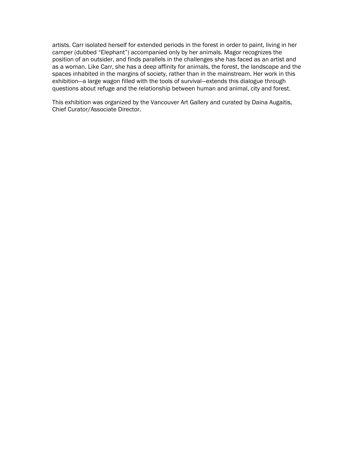artists. Carr isolated herself for extended periods in the forest in order to paint, living in her camper (dubbed "Elephant") accompanied only by her animals. Magor recognizes the position of an outsider, and finds parallels in the challenges she has faced as an artist and as a woman. Like Carr, she has a deep affinity for animals, the forest, the landscape and the spaces inhabited in the margins of society, rather than in the mainstream. Her work in this exhibition—a large wagon filled with the tools of survival—extends this dialogue through questions about refuge and the relationship between human and animal, city and forest.

This exhibition was organized by the Vancouver Art Gallery and curated by Daina Augaitis, Chief Curator/Associate Director.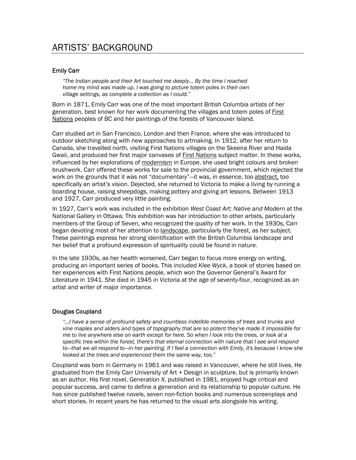#### Emily Carr

*"The Indian people and their Art touched me deeply… By the time I reached home my mind was made up. I was going to picture totem poles in their own village settings, as complete a collection as I could."* 

Born in 1871, Emily Carr was one of the most important British Columbia artists of her generation, best known for her work documenting the villages and totem poles of First Nations peoples of BC and her paintings of the forests of Vancouver Island.

Carr studied art in San Francisco, London and then France, where she was introduced to outdoor sketching along with new approaches to artmaking. In 1912, after her return to Canada, she travelled north, visiting First Nations villages on the Skeena River and Haida Gwaii, and produced her first major canvases of First Nations subject matter. In these works, influenced by her explorations of modernism in Europe, she used bright colours and broken brushwork. Carr offered these works for sale to the provincial government, which rejected the work on the grounds that it was not "documentary"—it was, in essence, too abstract, too specifically an artist's vision. Dejected, she returned to Victoria to make a living by running a boarding house, raising sheepdogs, making pottery and giving art lessons. Between 1913 and 1927, Carr produced very little painting.

In 1927, Carr's work was included in the exhibition *West Coast Art: Native and Modern* at the National Gallery in Ottawa*.* This exhibition was her introduction to other artists, particularly members of the Group of Seven, who recognized the quality of her work. In the 1930s, Carr began devoting most of her attention to landscape, particularly the forest, as her subject. These paintings express her strong identification with the British Columbia landscape and her belief that a profound expression of spirituality could be found in nature.

In the late 1930s, as her health worsened, Carr began to focus more energy on writing, producing an important series of books. This included *Klee Wyck*, a book of stories based on her experiences with First Nations people, which won the Governor General's Award for Literature in 1941. She died in 1945 in Victoria at the age of seventy-four, recognized as an artist and writer of major importance.

#### Douglas Coupland

*"…I have a sense of profound safety and countless indelible memories of trees and trunks and vine maples and alders and types of topography that are so potent they've made it impossible for me to live anywhere else on earth except for here. So when I look into the trees, or look at a specific tree within the forest, there's that eternal connection with nature that I see and respond to—that we all respond to—in her painting. If I feel a connection with Emily, it's because I know she looked at the trees and experienced them the same way, too."* 

Coupland was born in Germany in 1961 and was raised in Vancouver, where he still lives. He graduated from the Emily Carr University of Art + Design in sculpture, but is primarily known as an author. His first novel, *Generation X*, published in 1981, enjoyed huge critical and popular success, and came to define a generation and its relationship to popular culture. He has since published twelve novels, seven non-fiction books and numerous screenplays and short stories. In recent years he has returned to the visual arts alongside his writing.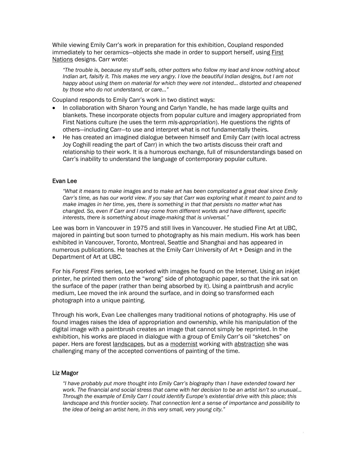While viewing Emily Carr's work in preparation for this exhibition, Coupland responded immediately to her ceramics—objects she made in order to support herself, using First Nations designs. Carr wrote:

*"The trouble is, because my stuff sells, other potters who follow my lead and know nothing about Indian art, falsify it. This makes me very angry. I love the beautiful Indian designs, but I am not happy about using them on material for which they were not intended… distorted and cheapened by those who do not understand, or care…"* 

Coupland responds to Emily Carr's work in two distinct ways:

- In collaboration with Sharon Young and Carlyn Yandle, he has made large quilts and blankets. These incorporate objects from popular culture and imagery appropriated from First Nations culture (he uses the term *mis-appropriation*). He questions the rights of others—including Carr—to use and interpret what is not fundamentally theirs.
- He has created an imagined dialogue between himself and Emily Carr (with local actress Joy Coghill reading the part of Carr) in which the two artists discuss their craft and relationship to their work. It is a humorous exchange, full of misunderstandings based on Carr's inability to understand the language of contemporary popular culture.

#### Evan Lee

*"What it means to make images and to make art has been complicated a great deal since Emily Carr's time, as has our world view. If you say that Carr was exploring what it meant to paint and to make images in her time, yes, there is something in that that persists no matter what has changed. So, even if Carr and I may come from different worlds and have different, specific interests, there is something about image-making that is universal."* 

Lee was born in Vancouver in 1975 and still lives in Vancouver. He studied Fine Art at UBC, majored in painting but soon turned to photography as his main medium. His work has been exhibited in Vancouver, Toronto, Montreal, Seattle and Shanghai and has appeared in numerous publications. He teaches at the Emily Carr University of Art + Design and in the Department of Art at UBC.

For his *Forest Fires* series, Lee worked with images he found on the Internet. Using an inkjet printer, he printed them onto the "wrong" side of photographic paper, so that the ink sat on the surface of the paper (rather than being absorbed by it). Using a paintbrush and acrylic medium, Lee moved the ink around the surface, and in doing so transformed each photograph into a unique painting.

Through his work, Evan Lee challenges many traditional notions of photography. His use of found images raises the idea of appropriation and ownership, while his manipulation of the digital image with a paintbrush creates an image that cannot simply be reprinted. In the exhibition, his works are placed in dialogue with a group of Emily Carr's oil "sketches" on paper. Hers are forest landscapes, but as a modernist working with abstraction she was challenging many of the accepted conventions of painting of the time.

#### Liz Magor

*"I have probably put more thought into Emily Carr's biography than I have extended toward her work. The financial and social stress that came with her decision to be an artist isn't so unusual… Through the example of Emily Carr I could identify Europe's existential drive with this place; this landscape and this frontier society. That connection lent a sense of importance and possibility to the idea of being an artist here, in this very small, very young city."*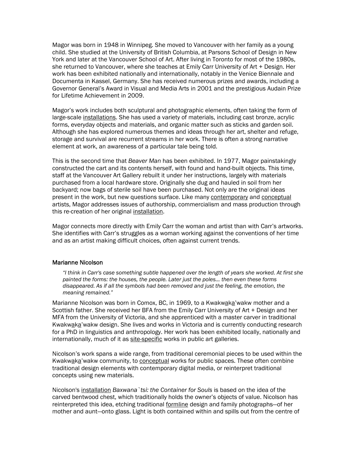Magor was born in 1948 in Winnipeg. She moved to Vancouver with her family as a young child. She studied at the University of British Columbia, at Parsons School of Design in New York and later at the Vancouver School of Art. After living in Toronto for most of the 1980s, she returned to Vancouver, where she teaches at Emily Carr University of Art + Design. Her work has been exhibited nationally and internationally, notably in the Venice Biennale and Documenta in Kassel, Germany. She has received numerous prizes and awards, including a Governor General's Award in Visual and Media Arts in 2001 and the prestigious Audain Prize for Lifetime Achievement in 2009.

Magor's work includes both sculptural and photographic elements, often taking the form of large-scale installations. She has used a variety of materials, including cast bronze, acrylic forms, everyday objects and materials, and organic matter such as sticks and garden soil. Although she has explored numerous themes and ideas through her art, shelter and refuge, storage and survival are recurrent streams in her work. There is often a strong narrative element at work, an awareness of a particular tale being told.

This is the second time that *Beaver Man* has been exhibited. In 1977, Magor painstakingly constructed the cart and its contents herself, with found and hand-built objects. This time, staff at the Vancouver Art Gallery rebuilt it under her instructions, largely with materials purchased from a local hardware store. Originally she dug and hauled in soil from her backyard; now bags of sterile soil have been purchased. Not only are the original ideas present in the work, but new questions surface. Like many contemporary and conceptual artists, Magor addresses issues of authorship, commercialism and mass production through this re-creation of her original installation.

Magor connects more directly with Emily Carr the woman and artist than with Carr's artworks. She identifies with Carr's struggles as a woman working against the conventions of her time and as an artist making difficult choices, often against current trends.

#### Marianne Nicolson

*"I think in Carr's case something subtle happened over the length of years she worked. At first she painted the forms: the houses, the people. Later just the poles... then even these forms disappeared. As if all the symbols had been removed and just the feeling, the emotion, the meaning remained."* 

Marianne Nicolson was born in Comox, BC, in 1969, to a Kwakwaka'wakw mother and a Scottish father. She received her BFA from the Emily Carr University of Art + Design and her MFA from the University of Victoria, and she apprenticed with a master carver in traditional Kwakwaka'wakw design. She lives and works in Victoria and is currently conducting research for a PhD in linguistics and anthropology. Her work has been exhibited locally, nationally and internationally, much of it as site-specific works in public art galleries.

Nicolson's work spans a wide range, from traditional ceremonial pieces to be used within the Kwakwaka'wakw community, to conceptual works for public spaces. These often combine traditional design elements with contemporary digital media, or reinterpret traditional concepts using new materials.

Nicolson's installation *Baxwana`tsi: the Container for Souls* is based on the idea of the carved bentwood chest, which traditionally holds the owner's objects of value. Nicolson has reinterpreted this idea, etching traditional formline design and family photographs—of her mother and aunt—onto glass. Light is both contained within and spills out from the centre of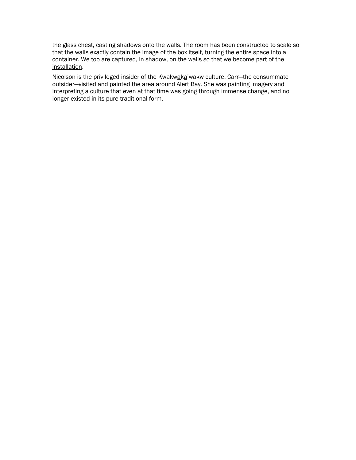the glass chest, casting shadows onto the walls. The room has been constructed to scale so that the walls exactly contain the image of the box itself, turning the entire space into a container. We too are captured, in shadow, on the walls so that we become part of the installation.

Nicolson is the privileged insider of the Kwakwaka'wakw culture. Carr-the consummate outsider—visited and painted the area around Alert Bay. She was painting imagery and interpreting a culture that even at that time was going through immense change, and no longer existed in its pure traditional form.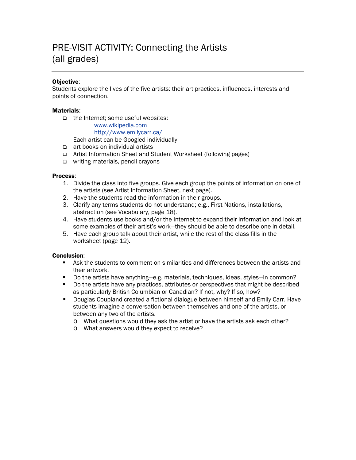### PRE-VISIT ACTIVITY: Connecting the Artists (all grades)

#### Objective:

Students explore the lives of the five artists: their art practices, influences, interests and points of connection.

#### Materials:

□ the Internet; some useful websites:

[www.wikipedia.com](http://www.wikipedia.com/) 

<http://www.emilycarr.ca/>

Each artist can be Googled individually

- art books on individual artists
- Artist Information Sheet and Student Worksheet (following pages)
- □ writing materials, pencil crayons

#### Process:

- 1. Divide the class into five groups. Give each group the points of information on one of the artists (see Artist Information Sheet, next page).
- 2. Have the students read the information in their groups.
- 3. Clarify any terms students do not understand; e.g., First Nations, installations, abstraction (see Vocabulary, page 18).
- 4. Have students use books and/or the Internet to expand their information and look at some examples of their artist's work—they should be able to describe one in detail.
- 5. Have each group talk about their artist, while the rest of the class fills in the worksheet (page 12).

#### Conclusion:

- Ask the students to comment on similarities and differences between the artists and their artwork.
- Do the artists have anything—e.g. materials, techniques, ideas, styles—in common?
- Do the artists have any practices, attributes or perspectives that might be described as particularly British Columbian or Canadian? If not, why? If so, how?
- **Douglas Coupland created a fictional dialogue between himself and Emily Carr. Have** students imagine a conversation between themselves and one of the artists, or between any two of the artists.
	- o What questions would they ask the artist or have the artists ask each other?
	- o What answers would they expect to receive?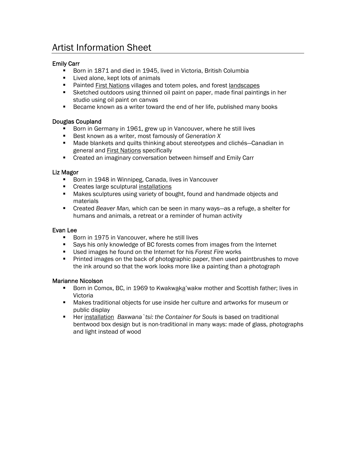### Artist Information Sheet

#### Emily Carr

- Born in 1871 and died in 1945, lived in Victoria, British Columbia
- **Lived alone, kept lots of animals**
- **Painted First Nations villages and totem poles, and forest landscapes**
- Sketched outdoors using thinned oil paint on paper, made final paintings in her studio using oil paint on canvas
- **Became known as a writer toward the end of her life, published many books**

#### Douglas Coupland

- Born in Germany in 1961, grew up in Vancouver, where he still lives
- Best known as a writer, most famously of *Generation X*
- Made blankets and quilts thinking about stereotypes and clichés—Canadian in general and First Nations specifically
- **EXECT** Created an imaginary conversation between himself and Emily Carr

#### Liz Magor

- **Born in 1948 in Winnipeg, Canada, lives in Vancouver**
- Creates large sculptural installations
- **Makes sculptures using variety of bought, found and handmade objects and** materials
- Created *Beaver Man,* which can be seen in many ways—as a refuge, a shelter for humans and animals, a retreat or a reminder of human activity

#### Evan Lee

- Born in 1975 in Vancouver, where he still lives
- Says his only knowledge of BC forests comes from images from the Internet
- Used images he found on the Internet for his *Forest Fire* works
- Printed images on the back of photographic paper, then used paintbrushes to move the ink around so that the work looks more like a painting than a photograph

#### Marianne Nicolson

- Born in Comox, BC, in 1969 to Kwakwaka'wakw mother and Scottish father; lives in Victoria
- Makes traditional objects for use inside her culture and artworks for museum or public display
- **Her installation** Baxwana `tsi: the Container for Souls is based on traditional bentwood box design but is non-traditional in many ways: made of glass, photographs and light instead of wood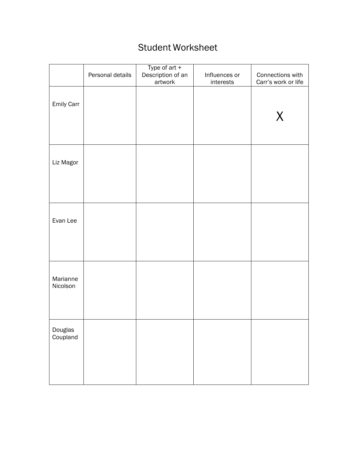### Student Worksheet

|                      | Personal details | Type of $art +$<br>Description of an<br>artwork | Influences or<br>interests | Connections with<br>Carr's work or life |
|----------------------|------------------|-------------------------------------------------|----------------------------|-----------------------------------------|
| Emily Carr           |                  |                                                 |                            | X                                       |
|                      |                  |                                                 |                            |                                         |
| Liz Magor            |                  |                                                 |                            |                                         |
|                      |                  |                                                 |                            |                                         |
| Evan Lee             |                  |                                                 |                            |                                         |
|                      |                  |                                                 |                            |                                         |
| Marianne<br>Nicolson |                  |                                                 |                            |                                         |
| Douglas<br>Coupland  |                  |                                                 |                            |                                         |
|                      |                  |                                                 |                            |                                         |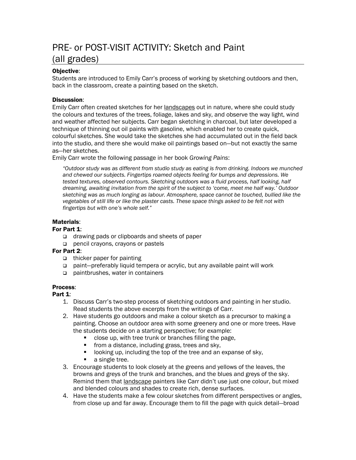### PRE- or POST-VISIT ACTIVITY: Sketch and Paint (all grades)

#### Objective:

Students are introduced to Emily Carr's process of working by sketching outdoors and then, back in the classroom, create a painting based on the sketch.

#### Discussion:

Emily Carr often created sketches for her landscapes out in nature, where she could study the colours and textures of the trees, foliage, lakes and sky, and observe the way light, wind and weather affected her subjects. Carr began sketching in charcoal, but later developed a technique of thinning out oil paints with gasoline, which enabled her to create quick, colourful sketches. She would take the sketches she had accumulated out in the field back into the studio, and there she would make oil paintings based on—but not exactly the same as—her sketches.

Emily Carr wrote the following passage in her book *Growing Pains*:

*"Outdoor study was as different from studio study as eating is from drinking. Indoors we munched and chewed our subjects. Fingertips roamed objects feeling for bumps and depressions. We tested textures, observed contours. Sketching outdoors was a fluid process, half looking, half dreaming, awaiting invitation from the spirit of the subject to 'come, meet me half way.' Outdoor sketching was as much longing as labour. Atmosphere, space cannot be touched, bullied like the vegetables of still life or like the plaster casts. These space things asked to be felt not with fingertips but with one's whole self."* 

#### Materials:

#### For Part 1:

- □ drawing pads or clipboards and sheets of paper
- pencil crayons, crayons or pastels
- For Part 2:
	- □ thicker paper for painting
	- paint—preferably liquid tempera or acrylic, but any available paint will work
	- paintbrushes, water in containers

#### Process:

Part 1:

- 1. Discuss Carr's two-step process of sketching outdoors and painting in her studio. Read students the above excerpts from the writings of Carr.
- 2. Have students go outdoors and make a colour sketch as a precursor to making a painting. Choose an outdoor area with some greenery and one or more trees. Have the students decide on a starting perspective; for example:
	- close up, with tree trunk or branches filling the page,
	- **from a distance, including grass, trees and sky,**
	- **IDOO** looking up, including the top of the tree and an expanse of sky,
	- a single tree.
- 3. Encourage students to look closely at the greens and yellows of the leaves, the browns and greys of the trunk and branches, and the blues and greys of the sky. Remind them that landscape painters like Carr didn't use just one colour, but mixed and blended colours and shades to create rich, dense surfaces.
- 4. Have the students make a few colour sketches from different perspectives or angles, from close up and far away. Encourage them to fill the page with quick detail—broad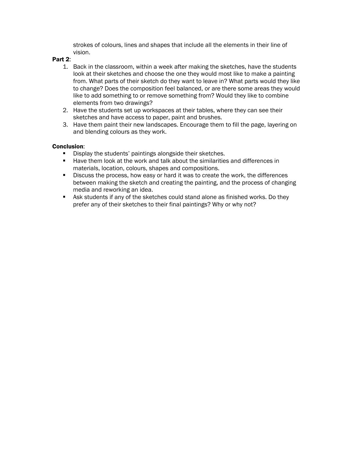strokes of colours, lines and shapes that include all the elements in their line of vision.

#### Part 2:

- 1. Back in the classroom, within a week after making the sketches, have the students look at their sketches and choose the one they would most like to make a painting from. What parts of their sketch do they want to leave in? What parts would they like to change? Does the composition feel balanced, or are there some areas they would like to add something to or remove something from? Would they like to combine elements from two drawings?
- 2. Have the students set up workspaces at their tables, where they can see their sketches and have access to paper, paint and brushes.
- 3. Have them paint their new landscapes. Encourage them to fill the page, layering on and blending colours as they work.

#### Conclusion:

- Display the students' paintings alongside their sketches.
- Have them look at the work and talk about the similarities and differences in materials, location, colours, shapes and compositions.
- Discuss the process, how easy or hard it was to create the work, the differences between making the sketch and creating the painting, and the process of changing media and reworking an idea.
- Ask students if any of the sketches could stand alone as finished works. Do they prefer any of their sketches to their final paintings? Why or why not?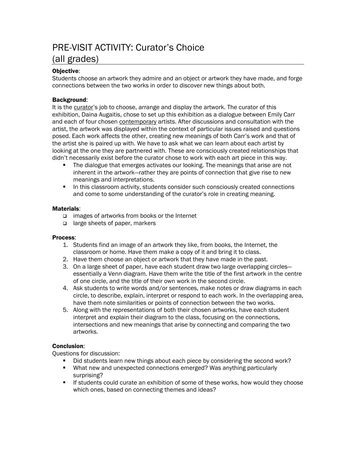### PRE-VISIT ACTIVITY: Curator's Choice (all grades)

#### Objective:

Students choose an artwork they admire and an object or artwork they have made, and forge connections between the two works in order to discover new things about both.

#### Background:

It is the curator's job to choose, arrange and display the artwork. The curator of this exhibition, Daina Augaitis, chose to set up this exhibition as a dialogue between Emily Carr and each of four chosen **contemporary** artists. After discussions and consultation with the artist, the artwork was displayed within the context of particular issues raised and questions posed. Each work affects the other, creating new meanings of both Carr's work and that of the artist she is paired up with. We have to ask what we can learn about each artist by looking at the one they are partnered with. These are consciously created relationships that didn't necessarily exist before the curator chose to work with each art piece in this way.

- The dialogue that emerges activates our looking. The meanings that arise are not inherent in the artwork—rather they are points of connection that give rise to new meanings and interpretations.
- In this classroom activity, students consider such consciously created connections and come to some understanding of the curator's role in creating meaning.

#### Materials:

- images of artworks from books or the Internet
- □ large sheets of paper, markers

#### Process:

- 1. Students find an image of an artwork they like, from books, the Internet, the classroom or home. Have them make a copy of it and bring it to class.
- 2. Have them choose an object or artwork that they have made in the past.
- 3. On a large sheet of paper, have each student draw two large overlapping circles essentially a Venn diagram. Have them write the title of the first artwork in the centre of one circle, and the title of their own work in the second circle.
- 4. Ask students to write words and/or sentences, make notes or draw diagrams in each circle, to describe, explain, interpret or respond to each work. In the overlapping area, have them note similarities or points of connection between the two works.
- 5. Along with the representations of both their chosen artworks, have each student interpret and explain their diagram to the class, focusing on the connections, intersections and new meanings that arise by connecting and comparing the two artworks.

#### Conclusion:

Questions for discussion:

- Did students learn new things about each piece by considering the second work?
- What new and unexpected connections emerged? Was anything particularly surprising?
- **If students could curate an exhibition of some of these works, how would they choose** which ones, based on connecting themes and ideas?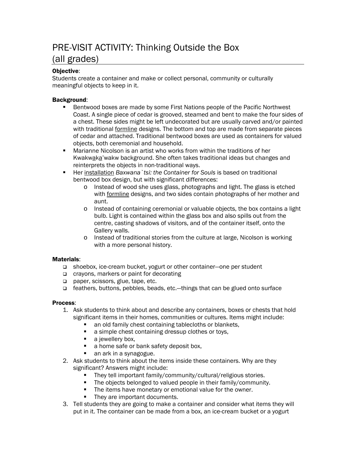### PRE-VISIT ACTIVITY: Thinking Outside the Box (all grades)

#### Objective:

Students create a container and make or collect personal, community or culturally meaningful objects to keep in it.

#### Background:

- **Bentwood boxes are made by some First Nations people of the Pacific Northwest** Coast. A single piece of cedar is grooved, steamed and bent to make the four sides of a chest. These sides might be left undecorated but are usually carved and/or painted with traditional formline designs. The bottom and top are made from separate pieces of cedar and attached. Traditional bentwood boxes are used as containers for valued objects, both ceremonial and household.
- Marianne Nicolson is an artist who works from within the traditions of her Kwakwaka'wakw background. She often takes traditional ideas but changes and reinterprets the objects in non-traditional ways.
- Her installation *Baxwana`tsi: the Container for Souls* is based on traditional bentwood box design, but with significant differences:
	- o Instead of wood she uses glass, photographs and light. The glass is etched with formline designs, and two sides contain photographs of her mother and aunt.
	- o Instead of containing ceremonial or valuable objects, the box contains a light bulb. Light is contained within the glass box and also spills out from the centre, casting shadows of visitors, and of the container itself, onto the Gallery walls.
	- o Instead of traditional stories from the culture at large, Nicolson is working with a more personal history.

#### Materials:

- □ shoebox, ice-cream bucket, yogurt or other container-one per student
- □ crayons, markers or paint for decorating
- paper, scissors, glue, tape, etc.
- feathers, buttons, pebbles, beads, etc.—things that can be glued onto surface

#### Process:

- 1. Ask students to think about and describe any containers, boxes or chests that hold significant items in their homes, communities or cultures. Items might include:
	- an old family chest containing tablecloths or blankets,
	- **a** simple chest containing dressup clothes or toys,
	- a jewellery box,
	- a home safe or bank safety deposit box,
	- an ark in a synagogue.
- 2. Ask students to think about the items inside these containers. Why are they significant? Answers might include:
	- They tell important family/community/cultural/religious stories.
	- The objects belonged to valued people in their family/community.
	- The items have monetary or emotional value for the owner.
	- They are important documents.
- 3. Tell students they are going to make a container and consider what items they will put in it. The container can be made from a box, an ice-cream bucket or a yogurt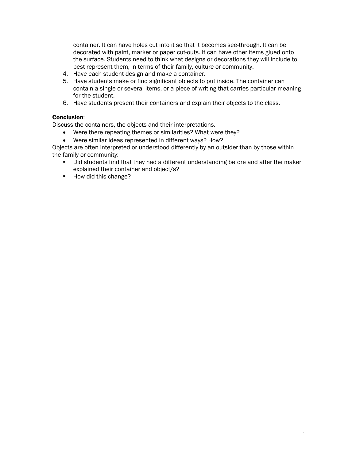container. It can have holes cut into it so that it becomes see-through. It can be decorated with paint, marker or paper cut-outs. It can have other items glued onto the surface. Students need to think what designs or decorations they will include to best represent them, in terms of their family, culture or community.

- 4. Have each student design and make a container.
- 5. Have students make or find significant objects to put inside. The container can contain a single or several items, or a piece of writing that carries particular meaning for the student.
- 6. Have students present their containers and explain their objects to the class.

#### Conclusion:

Discuss the containers, the objects and their interpretations.

- Were there repeating themes or similarities? What were they?
- Were similar ideas represented in different ways? How?

Objects are often interpreted or understood differently by an outsider than by those within the family or community:

- Did students find that they had a different understanding before and after the maker explained their container and object/s?
- How did this change?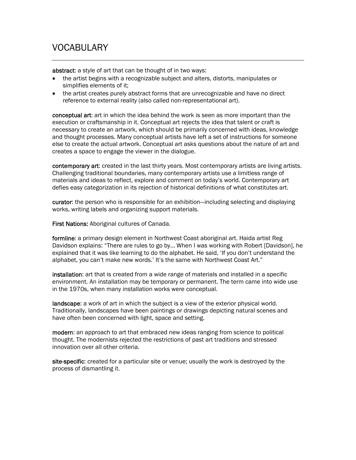### VOCABULARY

abstract: a style of art that can be thought of in two ways:

- the artist begins with a recognizable subject and alters, distorts, manipulates or simplifies elements of it;
- the artist creates purely abstract forms that are unrecognizable and have no direct reference to external reality (also called non-representational art).

conceptual art: art in which the idea behind the work is seen as more important than the execution or craftsmanship in it. Conceptual art rejects the idea that talent or craft is necessary to create an artwork, which should be primarily concerned with ideas, knowledge and thought processes. Many conceptual artists have left a set of instructions for someone else to create the actual artwork. Conceptual art asks questions about the nature of art and creates a space to engage the viewer in the dialogue.

contemporary art: created in the last thirty years. Most contemporary artists are living artists. Challenging traditional boundaries, many contemporary artists use a limitless range of materials and ideas to reflect, explore and comment on today's world. Contemporary art defies easy categorization in its rejection of historical definitions of what constitutes art.

curator: the person who is responsible for an exhibition—including selecting and displaying works, writing labels and organizing support materials.

First Nations: Aboriginal cultures of Canada.

formline: a primary design element in Northwest Coast aboriginal art. Haida artist Reg Davidson explains: "There are rules to go by… When I was working with Robert [Davidson], he explained that it was like learning to do the alphabet. He said, 'If you don't understand the alphabet, you can't make new words.' It's the same with Northwest Coast Art."

installation: art that is created from a wide range of materials and installed in a specific environment. An installation may be temporary or permanent. The term came into wide use in the 1970s, when many installation works were conceptual.

landscape: a work of art in which the subject is a view of the exterior physical world. Traditionally, landscapes have been paintings or drawings depicting natural scenes and have often been concerned with light, space and setting.

modern: an approach to art that embraced new ideas ranging from science to political thought. The modernists rejected the restrictions of past art traditions and stressed innovation over all other criteria.

site-specific: created for a particular site or venue; usually the work is destroyed by the process of dismantling it.